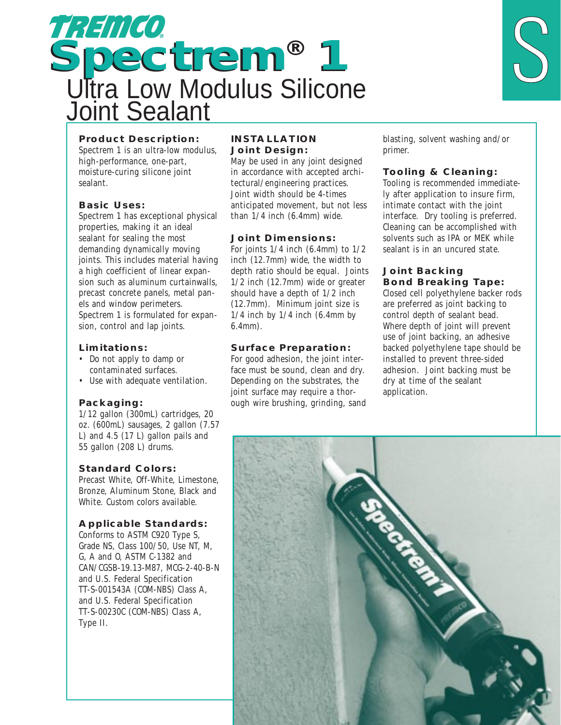



# **Product Description:**

Spectrem 1 is an ultra-low modulus, high-performance, one-part, moisture-curing silicone joint sealant.

### **Basic Uses:**

Spectrem 1 has exceptional physical properties, making it an ideal sealant for sealing the most demanding dynamically moving joints. This includes material having a high coefficient of linear expansion such as aluminum curtainwalls, precast concrete panels, metal panels and window perimeters. Spectrem 1 is formulated for expansion, control and lap joints.

#### **Limitations:**

- Do not apply to damp or contaminated surfaces.
- Use with adequate ventilation.

# **Packaging:**

1/12 gallon (300mL) cartridges, 20 oz. (600mL) sausages, 2 gallon (7.57 L) and 4.5 (17 L) gallon pails and 55 gallon (208 L) drums.

#### **Standard Colors:**

Precast White, Off-White, Limestone, Bronze, Aluminum Stone, Black and White. Custom colors available.

# **Applicable Standards:**

Conforms to ASTM C920 Type S, Grade NS, Class 100/50, Use NT, M, G, A and O, ASTM C-1382 and CAN/CGSB-19.13-M87, MCG-2-40-B-N and U.S. Federal Specification TT-S-001543A (COM-NBS) Class A, and U.S. Federal Specification TT-S-00230C (COM-NBS) Class A, Type II.

#### **INSTALLATION Joint Design:**

May be used in any joint designed in accordance with accepted architectural/engineering practices. Joint width should be 4-times anticipated movement, but not less than 1/4 inch (6.4mm) wide.

### **Joint Dimensions:**

For joints  $1/4$  inch (6.4mm) to  $1/2$ inch (12.7mm) wide, the width to depth ratio should be equal. Joints 1/2 inch (12.7mm) wide or greater should have a depth of 1/2 inch (12.7mm). Minimum joint size is  $1/4$  inch by  $1/4$  inch  $(6.4$ mm by 6.4mm).

# **Surface Preparation:**

For good adhesion, the joint interface must be sound, clean and dry. Depending on the substrates, the joint surface may require a thorough wire brushing, grinding, sand blasting, solvent washing and/or primer.

# **Tooling & Cleaning:**

Tooling is recommended immediately after application to insure firm, intimate contact with the joint interface. Dry tooling is preferred. Cleaning can be accomplished with solvents such as IPA or MEK while sealant is in an uncured state.

## **Joint Backing Bond Breaking Tape:**

Closed cell polyethylene backer rods are preferred as joint backing to control depth of sealant bead. Where depth of joint will prevent use of joint backing, an adhesive backed polyethylene tape should be installed to prevent three-sided adhesion. Joint backing must be dry at time of the sealant application.